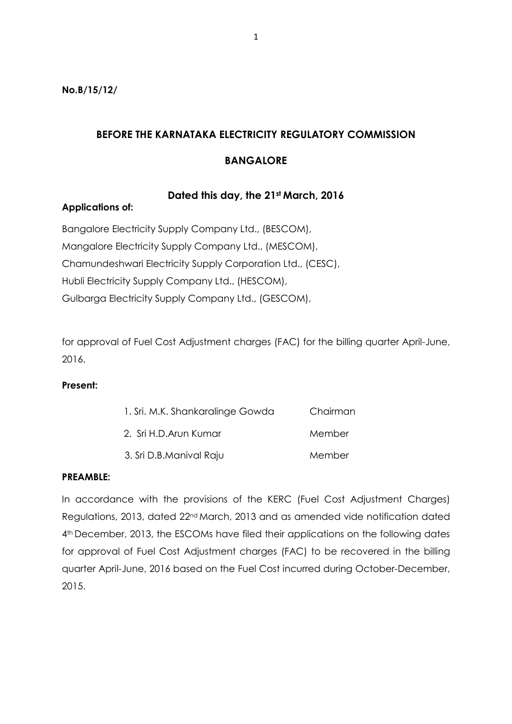**No.B/15/12/**

# **BEFORE THE KARNATAKA ELECTRICITY REGULATORY COMMISSION**

# **BANGALORE**

# **Dated this day, the 21st March, 2016**

### **Applications of:**

Bangalore Electricity Supply Company Ltd., (BESCOM), Mangalore Electricity Supply Company Ltd., (MESCOM), Chamundeshwari Electricity Supply Corporation Ltd., (CESC), Hubli Electricity Supply Company Ltd., (HESCOM), Gulbarga Electricity Supply Company Ltd., (GESCOM),

for approval of Fuel Cost Adjustment charges (FAC) for the billing quarter April-June, 2016.

### **Present:**

| 1. Sri. M.K. Shankaralinge Gowda | Chairman |
|----------------------------------|----------|
| 2. Sri H.D. Arun Kumar           | Member   |
| 3. Sri D.B.Manival Raju          | Member   |

#### **PREAMBLE:**

In accordance with the provisions of the KERC (Fuel Cost Adjustment Charges) Regulations, 2013, dated 22nd March, 2013 and as amended vide notification dated 4<sup>th</sup> December, 2013, the ESCOMs have filed their applications on the following dates for approval of Fuel Cost Adjustment charges (FAC) to be recovered in the billing quarter April-June, 2016 based on the Fuel Cost incurred during October-December, 2015.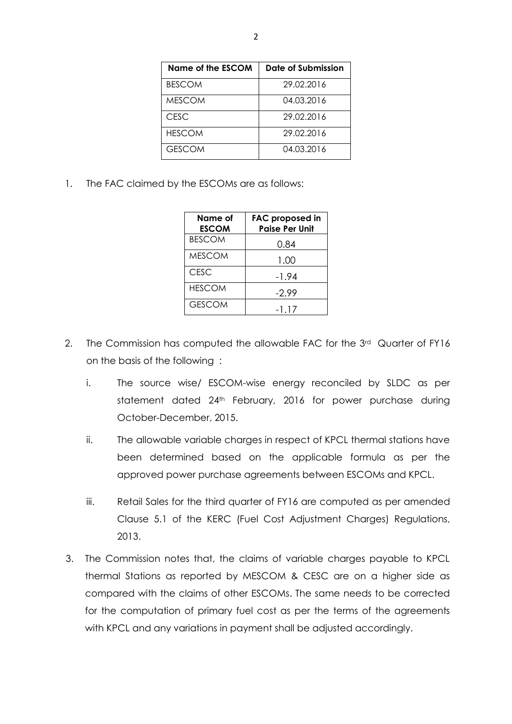| Name of the ESCOM | Date of Submission |
|-------------------|--------------------|
| <b>BESCOM</b>     | 29.02.2016         |
| <b>MESCOM</b>     | 04.03.2016         |
| CFSC.             | 29.02.2016         |
| <b>HESCOM</b>     | 29.02.2016         |
| <b>GESCOM</b>     | 04.03.2016         |

1. The FAC claimed by the ESCOMs are as follows:

| Name of<br><b>ESCOM</b> | <b>FAC proposed in</b><br><b>Paise Per Unit</b> |
|-------------------------|-------------------------------------------------|
| <b>BESCOM</b>           | 0.84                                            |
| <b>MESCOM</b>           | 1.00                                            |
| <b>CESC</b>             | -1.94                                           |
| <b>HESCOM</b>           | $-2.99$                                         |
| <b>GESCOM</b>           | -1.17                                           |

- 2. The Commission has computed the allowable FAC for the 3<sup>rd</sup> Quarter of FY16 on the basis of the following :
	- i. The source wise/ ESCOM-wise energy reconciled by SLDC as per statement dated 24<sup>th</sup> February, 2016 for power purchase during October-December, 2015.
	- ii. The allowable variable charges in respect of KPCL thermal stations have been determined based on the applicable formula as per the approved power purchase agreements between ESCOMs and KPCL.
	- iii. Retail Sales for the third quarter of FY16 are computed as per amended Clause 5.1 of the KERC (Fuel Cost Adjustment Charges) Regulations, 2013.
- 3. The Commission notes that, the claims of variable charges payable to KPCL thermal Stations as reported by MESCOM & CESC are on a higher side as compared with the claims of other ESCOMs. The same needs to be corrected for the computation of primary fuel cost as per the terms of the agreements with KPCL and any variations in payment shall be adjusted accordingly.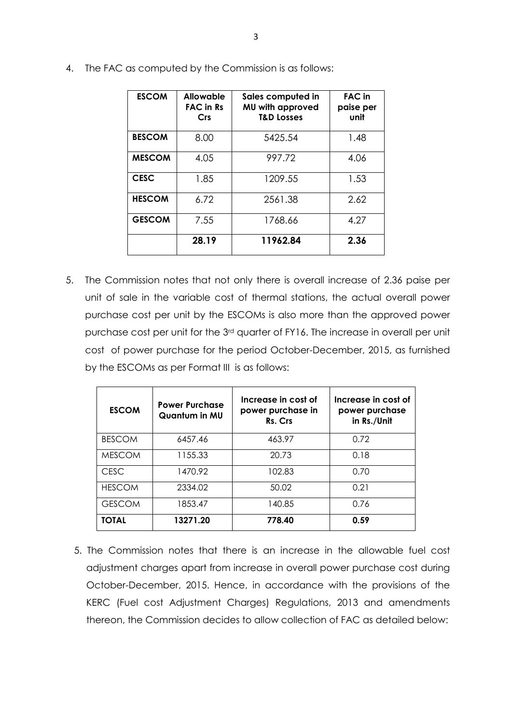| <b>ESCOM</b>  | <b>Allowable</b><br><b>FAC in Rs</b><br>Crs | Sales computed in<br>MU with approved<br><b>T&amp;D Losses</b> | <b>FAC</b> in<br>paise per<br>unit |
|---------------|---------------------------------------------|----------------------------------------------------------------|------------------------------------|
| <b>BESCOM</b> | 8.00                                        | 5425.54                                                        | 1.48                               |
| <b>MESCOM</b> | 4.05                                        | 997.72                                                         | 4.06                               |
| <b>CESC</b>   | 1.85                                        | 1209.55                                                        | 1.53                               |
| <b>HESCOM</b> | 6.72                                        | 2561.38                                                        | 2.62                               |
| <b>GESCOM</b> | 7.55                                        | 1768.66                                                        | 4.27                               |
|               | 28.19                                       | 11962.84                                                       | 2.36                               |

4. The FAC as computed by the Commission is as follows:

5. The Commission notes that not only there is overall increase of 2.36 paise per unit of sale in the variable cost of thermal stations, the actual overall power purchase cost per unit by the ESCOMs is also more than the approved power purchase cost per unit for the 3rd quarter of FY16. The increase in overall per unit cost of power purchase for the period October-December, 2015, as furnished by the ESCOMs as per Format III is as follows:

| <b>ESCOM</b>  | <b>Power Purchase</b><br>Quantum in MU | Increase in cost of<br>power purchase in<br>Rs. Crs | Increase in cost of<br>power purchase<br>in Rs./Unit |
|---------------|----------------------------------------|-----------------------------------------------------|------------------------------------------------------|
| <b>BESCOM</b> | 6457.46                                | 463.97                                              | 0.72                                                 |
| <b>MESCOM</b> | 1155.33                                | 20.73                                               | 0.18                                                 |
| CESC          | 1470.92                                | 102.83                                              | 0.70                                                 |
| <b>HESCOM</b> | 2334.02                                | 50.02                                               | 0.21                                                 |
| <b>GESCOM</b> | 1853.47                                | 140.85                                              | 0.76                                                 |
| <b>TOTAL</b>  | 13271.20                               | 778.40                                              | 0.59                                                 |

5. The Commission notes that there is an increase in the allowable fuel cost adjustment charges apart from increase in overall power purchase cost during October-December, 2015. Hence, in accordance with the provisions of the KERC (Fuel cost Adjustment Charges) Regulations, 2013 and amendments thereon, the Commission decides to allow collection of FAC as detailed below: